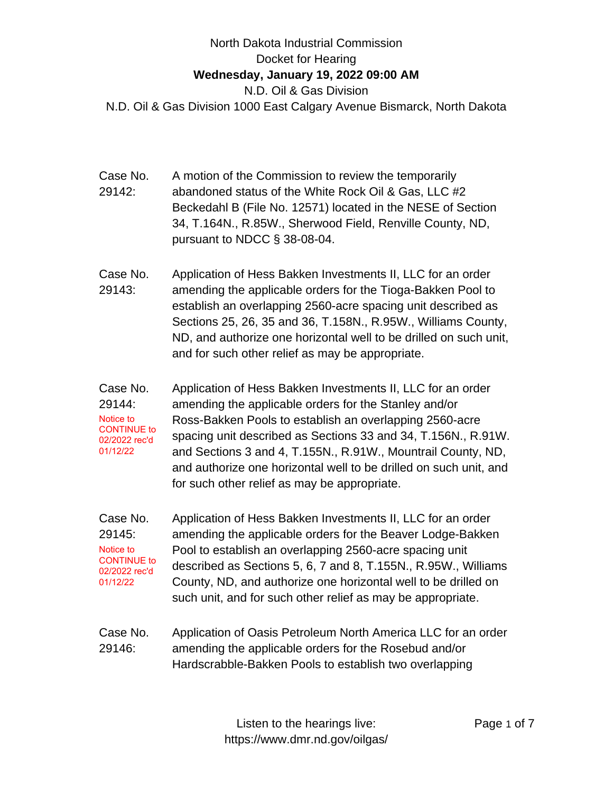## North Dakota Industrial Commission Docket for Hearing **Wednesday, January 19, 2022 09:00 AM** N.D. Oil & Gas Division N.D. Oil & Gas Division 1000 East Calgary Avenue Bismarck, North Dakota

- Case No. 29142: A motion of the Commission to review the temporarily abandoned status of the White Rock Oil & Gas, LLC #2 Beckedahl B (File No. 12571) located in the NESE of Section 34, T.164N., R.85W., Sherwood Field, Renville County, ND, pursuant to NDCC § 38-08-04.
- Case No. 29143: Application of Hess Bakken Investments II, LLC for an order amending the applicable orders for the Tioga-Bakken Pool to establish an overlapping 2560-acre spacing unit described as Sections 25, 26, 35 and 36, T.158N., R.95W., Williams County, ND, and authorize one horizontal well to be drilled on such unit, and for such other relief as may be appropriate.
- Case No. 29144: Application of Hess Bakken Investments II, LLC for an order amending the applicable orders for the Stanley and/or Ross-Bakken Pools to establish an overlapping 2560-acre spacing unit described as Sections 33 and 34, T.156N., R.91W. and Sections 3 and 4, T.155N., R.91W., Mountrail County, ND, and authorize one horizontal well to be drilled on such unit, and for such other relief as may be appropriate. Notice to CONTINUE to 02/2022 rec'd 01/12/22
- Case No. 29145: Application of Hess Bakken Investments II, LLC for an order amending the applicable orders for the Beaver Lodge-Bakken Pool to establish an overlapping 2560-acre spacing unit described as Sections 5, 6, 7 and 8, T.155N., R.95W., Williams County, ND, and authorize one horizontal well to be drilled on such unit, and for such other relief as may be appropriate. Notice to CONTINUE to 02/2022 rec'd 01/12/22
- Case No. 29146: Application of Oasis Petroleum North America LLC for an order amending the applicable orders for the Rosebud and/or Hardscrabble-Bakken Pools to establish two overlapping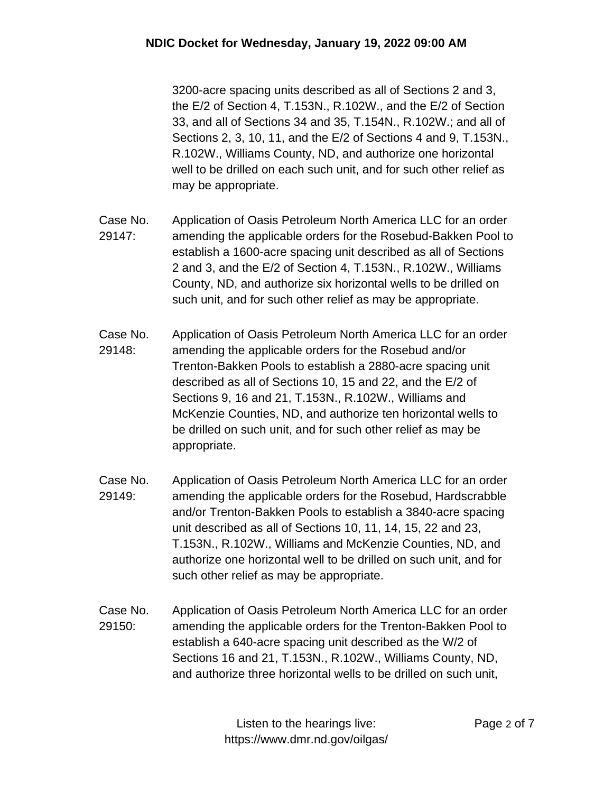3200-acre spacing units described as all of Sections 2 and 3, the E/2 of Section 4, T.153N., R.102W., and the E/2 of Section 33, and all of Sections 34 and 35, T.154N., R.102W.; and all of Sections 2, 3, 10, 11, and the E/2 of Sections 4 and 9, T.153N., R.102W., Williams County, ND, and authorize one horizontal well to be drilled on each such unit, and for such other relief as may be appropriate.

- Case No. 29147: Application of Oasis Petroleum North America LLC for an order amending the applicable orders for the Rosebud-Bakken Pool to establish a 1600-acre spacing unit described as all of Sections 2 and 3, and the E/2 of Section 4, T.153N., R.102W., Williams County, ND, and authorize six horizontal wells to be drilled on such unit, and for such other relief as may be appropriate.
- Case No. 29148: Application of Oasis Petroleum North America LLC for an order amending the applicable orders for the Rosebud and/or Trenton-Bakken Pools to establish a 2880-acre spacing unit described as all of Sections 10, 15 and 22, and the E/2 of Sections 9, 16 and 21, T.153N., R.102W., Williams and McKenzie Counties, ND, and authorize ten horizontal wells to be drilled on such unit, and for such other relief as may be appropriate.
- Case No. 29149: Application of Oasis Petroleum North America LLC for an order amending the applicable orders for the Rosebud, Hardscrabble and/or Trenton-Bakken Pools to establish a 3840-acre spacing unit described as all of Sections 10, 11, 14, 15, 22 and 23, T.153N., R.102W., Williams and McKenzie Counties, ND, and authorize one horizontal well to be drilled on such unit, and for such other relief as may be appropriate.
- Case No. 29150: Application of Oasis Petroleum North America LLC for an order amending the applicable orders for the Trenton-Bakken Pool to establish a 640-acre spacing unit described as the W/2 of Sections 16 and 21, T.153N., R.102W., Williams County, ND, and authorize three horizontal wells to be drilled on such unit,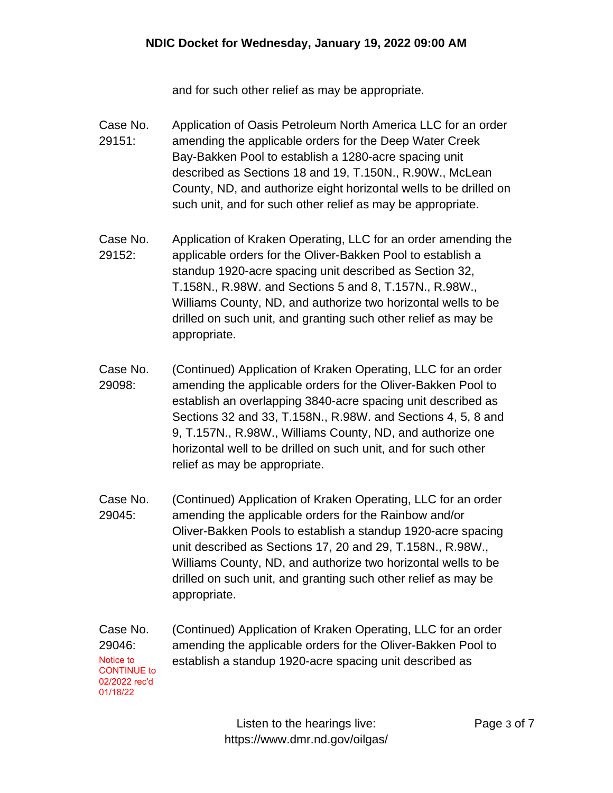and for such other relief as may be appropriate.

- Case No. 29151: Application of Oasis Petroleum North America LLC for an order amending the applicable orders for the Deep Water Creek Bay-Bakken Pool to establish a 1280-acre spacing unit described as Sections 18 and 19, T.150N., R.90W., McLean County, ND, and authorize eight horizontal wells to be drilled on such unit, and for such other relief as may be appropriate.
- Case No. 29152: Application of Kraken Operating, LLC for an order amending the applicable orders for the Oliver-Bakken Pool to establish a standup 1920-acre spacing unit described as Section 32, T.158N., R.98W. and Sections 5 and 8, T.157N., R.98W., Williams County, ND, and authorize two horizontal wells to be drilled on such unit, and granting such other relief as may be appropriate.
- Case No. 29098: (Continued) Application of Kraken Operating, LLC for an order amending the applicable orders for the Oliver-Bakken Pool to establish an overlapping 3840-acre spacing unit described as Sections 32 and 33, T.158N., R.98W. and Sections 4, 5, 8 and 9, T.157N., R.98W., Williams County, ND, and authorize one horizontal well to be drilled on such unit, and for such other relief as may be appropriate.
- Case No. 29045: (Continued) Application of Kraken Operating, LLC for an order amending the applicable orders for the Rainbow and/or Oliver-Bakken Pools to establish a standup 1920-acre spacing unit described as Sections 17, 20 and 29, T.158N., R.98W., Williams County, ND, and authorize two horizontal wells to be drilled on such unit, and granting such other relief as may be appropriate.
- Case No. 29046: (Continued) Application of Kraken Operating, LLC for an order amending the applicable orders for the Oliver-Bakken Pool to Notice to establish a standup 1920-acre spacing unit described as CONTINUE to 02/2022 rec'd 01/18/22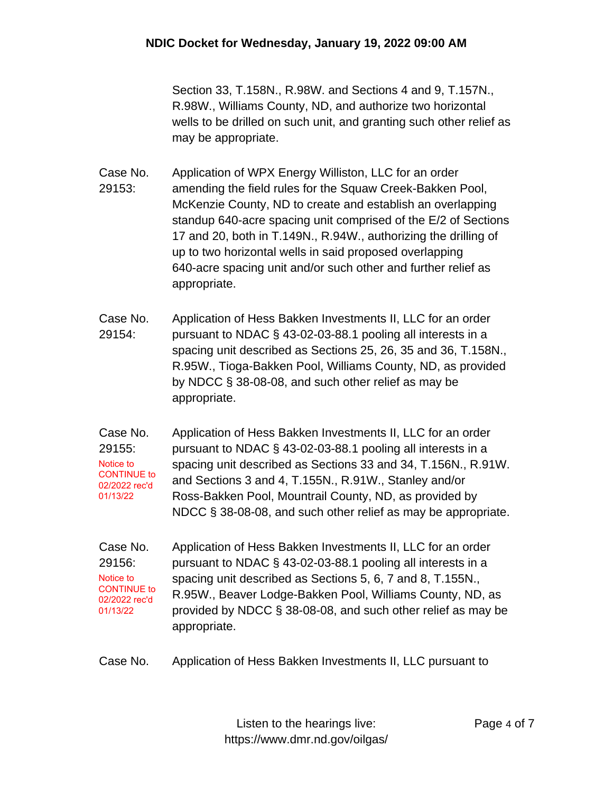Section 33, T.158N., R.98W. and Sections 4 and 9, T.157N., R.98W., Williams County, ND, and authorize two horizontal wells to be drilled on such unit, and granting such other relief as may be appropriate.

Case No. 29153: Application of WPX Energy Williston, LLC for an order amending the field rules for the Squaw Creek-Bakken Pool, McKenzie County, ND to create and establish an overlapping standup 640-acre spacing unit comprised of the E/2 of Sections 17 and 20, both in T.149N., R.94W., authorizing the drilling of up to two horizontal wells in said proposed overlapping 640-acre spacing unit and/or such other and further relief as appropriate.

- Case No. 29154: Application of Hess Bakken Investments II, LLC for an order pursuant to NDAC § 43-02-03-88.1 pooling all interests in a spacing unit described as Sections 25, 26, 35 and 36, T.158N., R.95W., Tioga-Bakken Pool, Williams County, ND, as provided by NDCC § 38-08-08, and such other relief as may be appropriate.
- Case No. 29155: Application of Hess Bakken Investments II, LLC for an order pursuant to NDAC § 43-02-03-88.1 pooling all interests in a spacing unit described as Sections 33 and 34, T.156N., R.91W. and Sections 3 and 4, T.155N., R.91W., Stanley and/or Ross-Bakken Pool, Mountrail County, ND, as provided by NDCC § 38-08-08, and such other relief as may be appropriate. Notice to CONTINUE to 02/2022 rec'd 01/13/22
- Case No. 29156: Application of Hess Bakken Investments II, LLC for an order pursuant to NDAC § 43-02-03-88.1 pooling all interests in a spacing unit described as Sections 5, 6, 7 and 8, T.155N., R.95W., Beaver Lodge-Bakken Pool, Williams County, ND, as provided by NDCC § 38-08-08, and such other relief as may be appropriate. Notice to CONTINUE to 02/2022 rec'd 01/13/22
- Case No. Application of Hess Bakken Investments II, LLC pursuant to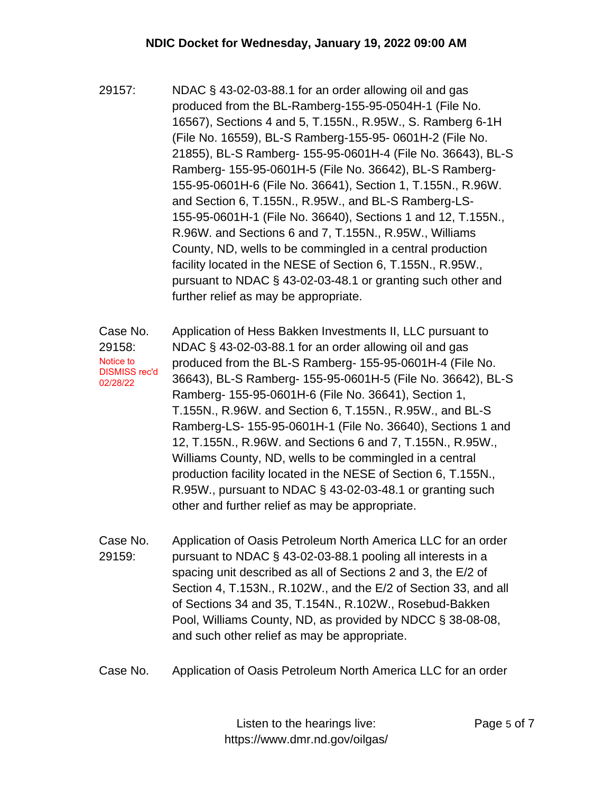- 29157: NDAC § 43-02-03-88.1 for an order allowing oil and gas produced from the BL-Ramberg-155-95-0504H-1 (File No. 16567), Sections 4 and 5, T.155N., R.95W., S. Ramberg 6-1H (File No. 16559), BL-S Ramberg-155-95- 0601H-2 (File No. 21855), BL-S Ramberg- 155-95-0601H-4 (File No. 36643), BL-S Ramberg- 155-95-0601H-5 (File No. 36642), BL-S Ramberg-155-95-0601H-6 (File No. 36641), Section 1, T.155N., R.96W. and Section 6, T.155N., R.95W., and BL-S Ramberg-LS-155-95-0601H-1 (File No. 36640), Sections 1 and 12, T.155N., R.96W. and Sections 6 and 7, T.155N., R.95W., Williams County, ND, wells to be commingled in a central production facility located in the NESE of Section 6, T.155N., R.95W., pursuant to NDAC § 43-02-03-48.1 or granting such other and further relief as may be appropriate.
- Case No. 29158: Application of Hess Bakken Investments II, LLC pursuant to NDAC § 43-02-03-88.1 for an order allowing oil and gas produced from the BL-S Ramberg- 155-95-0601H-4 (File No. 36643), BL-S Ramberg- 155-95-0601H-5 (File No. 36642), BL-S Ramberg- 155-95-0601H-6 (File No. 36641), Section 1, T.155N., R.96W. and Section 6, T.155N., R.95W., and BL-S Ramberg-LS- 155-95-0601H-1 (File No. 36640), Sections 1 and 12, T.155N., R.96W. and Sections 6 and 7, T.155N., R.95W., Williams County, ND, wells to be commingled in a central production facility located in the NESE of Section 6, T.155N., R.95W., pursuant to NDAC § 43-02-03-48.1 or granting such other and further relief as may be appropriate. Notice to DISMISS rec'd 02/28/22
- Case No. 29159: Application of Oasis Petroleum North America LLC for an order pursuant to NDAC § 43-02-03-88.1 pooling all interests in a spacing unit described as all of Sections 2 and 3, the E/2 of Section 4, T.153N., R.102W., and the E/2 of Section 33, and all of Sections 34 and 35, T.154N., R.102W., Rosebud-Bakken Pool, Williams County, ND, as provided by NDCC § 38-08-08, and such other relief as may be appropriate.
- Case No. Application of Oasis Petroleum North America LLC for an order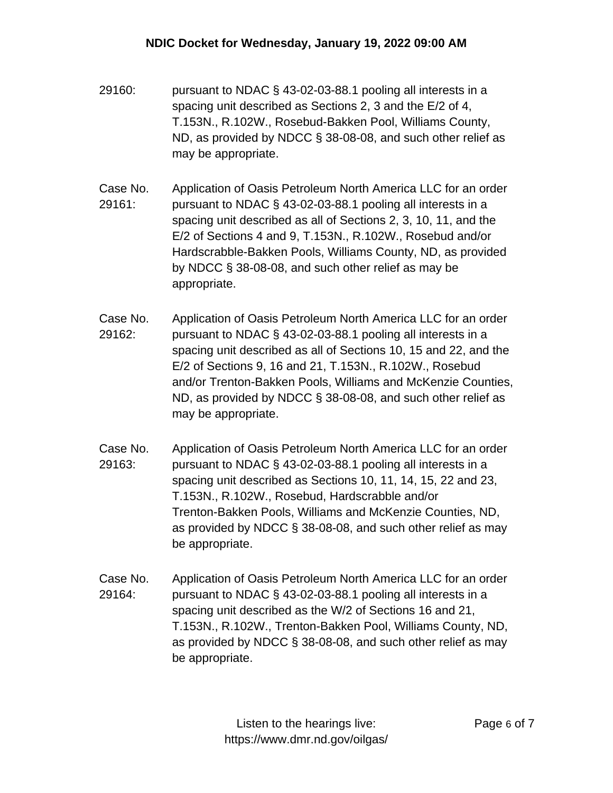- 29160: pursuant to NDAC § 43-02-03-88.1 pooling all interests in a spacing unit described as Sections 2, 3 and the E/2 of 4, T.153N., R.102W., Rosebud-Bakken Pool, Williams County, ND, as provided by NDCC § 38-08-08, and such other relief as may be appropriate.
- Case No. 29161: Application of Oasis Petroleum North America LLC for an order pursuant to NDAC § 43-02-03-88.1 pooling all interests in a spacing unit described as all of Sections 2, 3, 10, 11, and the E/2 of Sections 4 and 9, T.153N., R.102W., Rosebud and/or Hardscrabble-Bakken Pools, Williams County, ND, as provided by NDCC § 38-08-08, and such other relief as may be appropriate.
- Case No. 29162: Application of Oasis Petroleum North America LLC for an order pursuant to NDAC § 43-02-03-88.1 pooling all interests in a spacing unit described as all of Sections 10, 15 and 22, and the E/2 of Sections 9, 16 and 21, T.153N., R.102W., Rosebud and/or Trenton-Bakken Pools, Williams and McKenzie Counties, ND, as provided by NDCC § 38-08-08, and such other relief as may be appropriate.
- Case No. 29163: Application of Oasis Petroleum North America LLC for an order pursuant to NDAC § 43-02-03-88.1 pooling all interests in a spacing unit described as Sections 10, 11, 14, 15, 22 and 23, T.153N., R.102W., Rosebud, Hardscrabble and/or Trenton-Bakken Pools, Williams and McKenzie Counties, ND, as provided by NDCC § 38-08-08, and such other relief as may be appropriate.
- Case No. 29164: Application of Oasis Petroleum North America LLC for an order pursuant to NDAC § 43-02-03-88.1 pooling all interests in a spacing unit described as the W/2 of Sections 16 and 21, T.153N., R.102W., Trenton-Bakken Pool, Williams County, ND, as provided by NDCC § 38-08-08, and such other relief as may be appropriate.